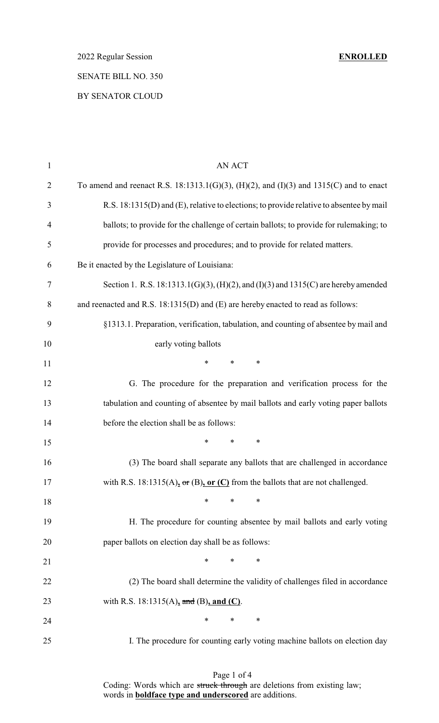# BY SENATOR CLOUD

| $\mathbf{1}$   | <b>AN ACT</b>                                                                           |
|----------------|-----------------------------------------------------------------------------------------|
| $\overline{2}$ | To amend and reenact R.S. 18:1313.1(G)(3), (H)(2), and (I)(3) and 1315(C) and to enact  |
| 3              | R.S. 18:1315(D) and (E), relative to elections; to provide relative to absentee by mail |
| $\overline{4}$ | ballots; to provide for the challenge of certain ballots; to provide for rulemaking; to |
| 5              | provide for processes and procedures; and to provide for related matters.               |
| 6              | Be it enacted by the Legislature of Louisiana:                                          |
| $\tau$         | Section 1. R.S. 18:1313.1(G)(3), (H)(2), and (I)(3) and 1315(C) are hereby amended      |
| 8              | and reenacted and R.S. 18:1315(D) and (E) are hereby enacted to read as follows:        |
| 9              | §1313.1. Preparation, verification, tabulation, and counting of absentee by mail and    |
| 10             | early voting ballots                                                                    |
| 11             | $\ast$<br>$*$ and $*$<br>$\ast$                                                         |
| 12             | G. The procedure for the preparation and verification process for the                   |
| 13             | tabulation and counting of absentee by mail ballots and early voting paper ballots      |
| 14             | before the election shall be as follows:                                                |
| 15             | $\ast$<br>*<br>∗                                                                        |
| 16             | (3) The board shall separate any ballots that are challenged in accordance              |
| 17             | with R.S. 18:1315(A), or (B), or (C) from the ballots that are not challenged.          |
| 18             | $\ast$<br>$\ast$<br>∗                                                                   |
| 19             | H. The procedure for counting absentee by mail ballots and early voting                 |
| 20             | paper ballots on election day shall be as follows:                                      |
| 21             | $\ast$<br>$\ast$<br>$\ast$                                                              |
| 22             | (2) The board shall determine the validity of challenges filed in accordance            |
| 23             | with R.S. 18:1315(A), and (B), and (C).                                                 |
| 24             | $*$<br>$\ast$<br>∗                                                                      |
| 25             | I. The procedure for counting early voting machine ballots on election day              |

Page 1 of 4 Coding: Words which are struck through are deletions from existing law; words in **boldface type and underscored** are additions.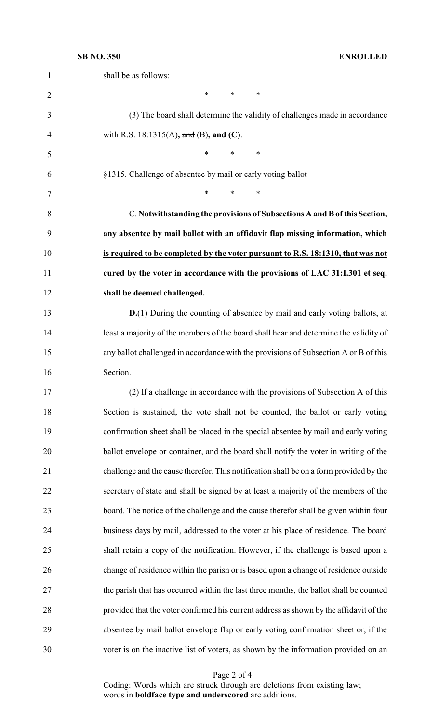| $\mathbf{1}$   | shall be as follows:                                                                   |
|----------------|----------------------------------------------------------------------------------------|
| $\overline{2}$ | $\ast$<br>$\ast$<br>$\ast$                                                             |
| 3              | (3) The board shall determine the validity of challenges made in accordance            |
| 4              | with R.S. 18:1315(A), and (B), and (C).                                                |
| 5              | $\ast$<br>$\ast$<br>$\ast$                                                             |
| 6              | §1315. Challenge of absentee by mail or early voting ballot                            |
| 7              | $\ast$<br>$\ast$<br>*                                                                  |
| 8              | C. Notwithstanding the provisions of Subsections A and B of this Section,              |
| 9              | any absentee by mail ballot with an affidavit flap missing information, which          |
| 10             | is required to be completed by the voter pursuant to R.S. 18:1310, that was not        |
| 11             | cured by the voter in accordance with the provisions of LAC 31:I.301 et seq.           |
| 12             | shall be deemed challenged.                                                            |
| 13             | $D(1)$ During the counting of absentee by mail and early voting ballots, at            |
| 14             | least a majority of the members of the board shall hear and determine the validity of  |
| 15             | any ballot challenged in accordance with the provisions of Subsection A or B of this   |
| 16             | Section.                                                                               |
| 17             | (2) If a challenge in accordance with the provisions of Subsection A of this           |
| 18             | Section is sustained, the vote shall not be counted, the ballot or early voting        |
| 19             | confirmation sheet shall be placed in the special absentee by mail and early voting    |
| 20             | ballot envelope or container, and the board shall notify the voter in writing of the   |
| 21             | challenge and the cause therefor. This notification shall be on a form provided by the |
| 22             | secretary of state and shall be signed by at least a majority of the members of the    |
| 23             | board. The notice of the challenge and the cause therefor shall be given within four   |
| 24             | business days by mail, addressed to the voter at his place of residence. The board     |
| 25             | shall retain a copy of the notification. However, if the challenge is based upon a     |
| 26             | change of residence within the parish or is based upon a change of residence outside   |
| 27             | the parish that has occurred within the last three months, the ballot shall be counted |
| 28             | provided that the voter confirmed his current address as shown by the affidavit of the |
| 29             | absentee by mail ballot envelope flap or early voting confirmation sheet or, if the    |
| 30             | voter is on the inactive list of voters, as shown by the information provided on an    |

Page 2 of 4

Coding: Words which are struck through are deletions from existing law; words in **boldface type and underscored** are additions.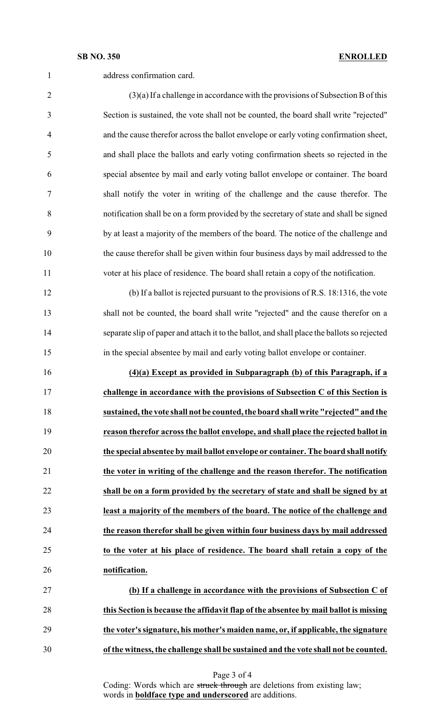### **SB NO. 350 ENROLLED**

| $\mathbf{1}$                                       | address confirmation card.                                                                  |
|----------------------------------------------------|---------------------------------------------------------------------------------------------|
| $\overline{2}$                                     | $(3)(a)$ If a challenge in accordance with the provisions of Subsection B of this           |
| 3                                                  | Section is sustained, the vote shall not be counted, the board shall write "rejected"       |
| 4                                                  | and the cause therefor across the ballot envelope or early voting confirmation sheet,       |
| 5                                                  | and shall place the ballots and early voting confirmation sheets so rejected in the         |
| 6                                                  | special absentee by mail and early voting ballot envelope or container. The board           |
| 7                                                  | shall notify the voter in writing of the challenge and the cause therefor. The              |
| 8                                                  | notification shall be on a form provided by the secretary of state and shall be signed      |
| 9                                                  | by at least a majority of the members of the board. The notice of the challenge and         |
| 10                                                 | the cause therefor shall be given within four business days by mail addressed to the        |
| 11                                                 | voter at his place of residence. The board shall retain a copy of the notification.         |
| 12                                                 | (b) If a ballot is rejected pursuant to the provisions of R.S. 18:1316, the vote            |
| 13                                                 | shall not be counted, the board shall write "rejected" and the cause therefor on a          |
| 14                                                 | separate slip of paper and attach it to the ballot, and shall place the ballots so rejected |
| 15                                                 | in the special absentee by mail and early voting ballot envelope or container.              |
|                                                    |                                                                                             |
|                                                    | (4)(a) Except as provided in Subparagraph (b) of this Paragraph, if a                       |
|                                                    | challenge in accordance with the provisions of Subsection C of this Section is              |
|                                                    | sustained, the vote shall not be counted, the board shall write "rejected" and the          |
| 19                                                 | reason therefor across the ballot envelope, and shall place the rejected ballot in          |
|                                                    | the special absentee by mail ballot envelope or container. The board shall notify           |
|                                                    | the voter in writing of the challenge and the reason therefor. The notification             |
|                                                    | shall be on a form provided by the secretary of state and shall be signed by at             |
|                                                    | least a majority of the members of the board. The notice of the challenge and               |
|                                                    | the reason therefor shall be given within four business days by mail addressed              |
| 16<br>17<br>18<br>20<br>21<br>22<br>23<br>24<br>25 | to the voter at his place of residence. The board shall retain a copy of the                |
|                                                    | notification.                                                                               |
|                                                    | (b) If a challenge in accordance with the provisions of Subsection C of                     |
| 26<br>27<br>28                                     | this Section is because the affidavit flap of the absentee by mail ballot is missing        |
| 29                                                 | the voter's signature, his mother's maiden name, or, if applicable, the signature           |

Page 3 of 4

Coding: Words which are struck through are deletions from existing law; words in **boldface type and underscored** are additions.